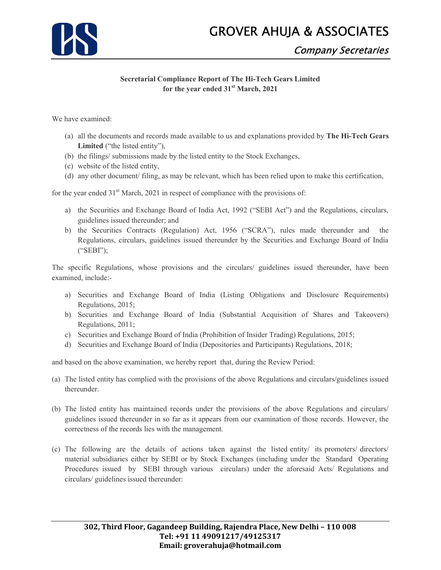## GROVER AHUJA & ASSOCIATES



## Company Secretaries

## Secretarial Compliance Report of The Hi-Tech Gears Limited for the year ended 31<sup>st</sup> March, 2021

We have examined:

- (a) all the documents and records made available to us and explanations provided by The Hi-Tech Gears Limited ("the listed entity"),
- (b) the filings/ submissions made by the listed entity to the Stock Exchanges,
- (c) website of the listed entity,
- (d) any other document/ filing, as may be relevant, which has been relied upon to make this certification,

for the year ended  $31<sup>st</sup>$  March, 2021 in respect of compliance with the provisions of:

- a) the Securities and Exchange Board of India Act, 1992 ("SEBI Act") and the Regulations, circulars, guidelines issued thereunder; and
- b) the Securities Contracts (Regulation) Act, 1956 ("SCRA"), rules made thereunder and the Regulations, circulars, guidelines issued thereunder by the Securities and Exchange Board of India ("SEBI");

The specific Regulations, whose provisions and the circulars/ guidelines issued thereunder, have been examined, include:-

- a) Securities and Exchange Board of India (Listing Obligations and Disclosure Requirements) Regulations, 2015;
- b) Securities and Exchange Board of India (Substantial Acquisition of Shares and Takeovers) Regulations, 2011;
- c) Securities and Exchange Board of India (Prohibition of Insider Trading) Regulations, 2015;
- d) Securities and Exchange Board of India (Depositories and Participants) Regulations, 2018;

and based on the above examination, we hereby report that, during the Review Period:

- (a) The listed entity has complied with the provisions of the above Regulations and circulars/guidelines issued thereunder.
- (b) The listed entity has maintained records under the provisions of the above Regulations and circulars/ guidelines issued thereunder in so far as it appears from our examination of those records. However, the correctness of the records lies with the management.
- (c) The following are the details of actions taken against the listed entity/ its promoters/ directors/ material subsidiaries either by SEBI or by Stock Exchanges (including under the Standard Operating Procedures issued by SEBI through various circulars) under the aforesaid Acts/ Regulations and circulars/ guidelines issued thereunder: